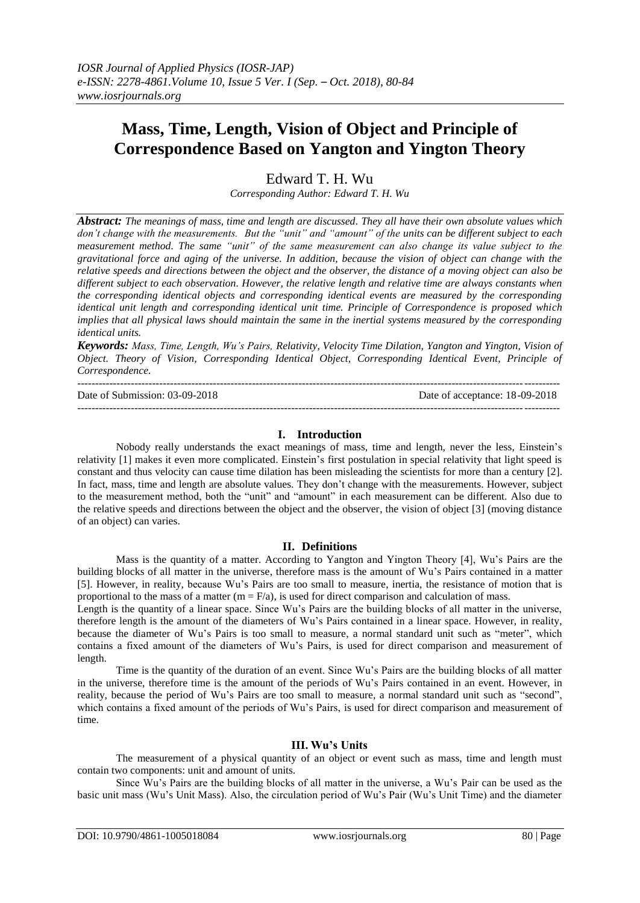# **Mass, Time, Length, Vision of Object and Principle of Correspondence Based on Yangton and Yington Theory**

Edward T. H. Wu

*Corresponding Author: Edward T. H. Wu*

*Abstract: The meanings of mass, time and length are discussed. They all have their own absolute values which don't change with the measurements. But the "unit" and "amount" of the units can be different subject to each measurement method. The same "unit" of the same measurement can also change its value subject to the gravitational force and aging of the universe. In addition, because the vision of object can change with the relative speeds and directions between the object and the observer, the distance of a moving object can also be different subject to each observation. However, the relative length and relative time are always constants when the corresponding identical objects and corresponding identical events are measured by the corresponding identical unit length and corresponding identical unit time. Principle of Correspondence is proposed which implies that all physical laws should maintain the same in the inertial systems measured by the corresponding identical units.*

*Keywords: Mass, Time, Length, Wu's Pairs, Relativity, Velocity Time Dilation, Yangton and Yington, Vision of Object. Theory of Vision, Corresponding Identical Object, Corresponding Identical Event, Principle of Correspondence.*

--------------------------------------------------------------------------------------------------------------------------------------- Date of Submission: 03-09-2018 Date of acceptance: 18-09-2018 ---------------------------------------------------------------------------------------------------------------------------------------

# **I. Introduction**

Nobody really understands the exact meanings of mass, time and length, never the less, Einstein's relativity [1] makes it even more complicated. Einstein's first postulation in special relativity that light speed is constant and thus velocity can cause time dilation has been misleading the scientists for more than a century [2]. In fact, mass, time and length are absolute values. They don't change with the measurements. However, subject to the measurement method, both the "unit" and "amount" in each measurement can be different. Also due to the relative speeds and directions between the object and the observer, the vision of object [3] (moving distance of an object) can varies.

# **II. Definitions**

Mass is the quantity of a matter. According to Yangton and Yington Theory [4], Wu's Pairs are the building blocks of all matter in the universe, therefore mass is the amount of Wu's Pairs contained in a matter [5]. However, in reality, because Wu's Pairs are too small to measure, inertia, the resistance of motion that is proportional to the mass of a matter  $(m = F/a)$ , is used for direct comparison and calculation of mass.

Length is the quantity of a linear space. Since Wu's Pairs are the building blocks of all matter in the universe, therefore length is the amount of the diameters of Wu's Pairs contained in a linear space. However, in reality, because the diameter of Wu's Pairs is too small to measure, a normal standard unit such as "meter", which contains a fixed amount of the diameters of Wu's Pairs, is used for direct comparison and measurement of length.

Time is the quantity of the duration of an event. Since Wu's Pairs are the building blocks of all matter in the universe, therefore time is the amount of the periods of Wu's Pairs contained in an event. However, in reality, because the period of Wu's Pairs are too small to measure, a normal standard unit such as "second", which contains a fixed amount of the periods of Wu's Pairs, is used for direct comparison and measurement of time.

# **III. Wu's Units**

The measurement of a physical quantity of an object or event such as mass, time and length must contain two components: unit and amount of units.

Since Wu's Pairs are the building blocks of all matter in the universe, a Wu's Pair can be used as the basic unit mass (Wu's Unit Mass). Also, the circulation period of Wu's Pair (Wu's Unit Time) and the diameter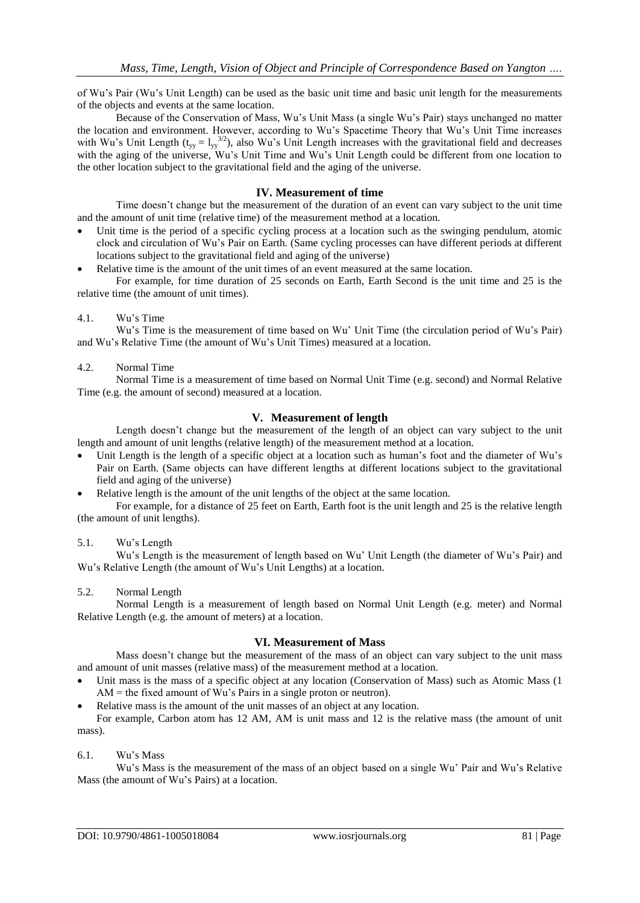of Wu's Pair (Wu's Unit Length) can be used as the basic unit time and basic unit length for the measurements of the objects and events at the same location.

Because of the Conservation of Mass, Wu's Unit Mass (a single Wu's Pair) stays unchanged no matter the location and environment. However, according to Wu's Spacetime Theory that Wu's Unit Time increases with Wu's Unit Length ( $t_{yy} = I_{yy}^{3/2}$ ), also Wu's Unit Length increases with the gravitational field and decreases with the aging of the universe, Wu's Unit Time and Wu's Unit Length could be different from one location to the other location subject to the gravitational field and the aging of the universe.

### **IV. Measurement of time**

Time doesn't change but the measurement of the duration of an event can vary subject to the unit time and the amount of unit time (relative time) of the measurement method at a location.

- Unit time is the period of a specific cycling process at a location such as the swinging pendulum, atomic clock and circulation of Wu's Pair on Earth. (Same cycling processes can have different periods at different locations subject to the gravitational field and aging of the universe)
- Relative time is the amount of the unit times of an event measured at the same location.

For example, for time duration of 25 seconds on Earth, Earth Second is the unit time and 25 is the relative time (the amount of unit times).

### 4.1. Wu's Time

Wu's Time is the measurement of time based on Wu' Unit Time (the circulation period of Wu's Pair) and Wu's Relative Time (the amount of Wu's Unit Times) measured at a location.

#### 4.2. Normal Time

Normal Time is a measurement of time based on Normal Unit Time (e.g. second) and Normal Relative Time (e.g. the amount of second) measured at a location.

# **V. Measurement of length**

Length doesn't change but the measurement of the length of an object can vary subject to the unit length and amount of unit lengths (relative length) of the measurement method at a location.

- Unit Length is the length of a specific object at a location such as human's foot and the diameter of Wu's Pair on Earth. (Same objects can have different lengths at different locations subject to the gravitational field and aging of the universe)
- Relative length is the amount of the unit lengths of the object at the same location.

For example, for a distance of 25 feet on Earth, Earth foot is the unit length and 25 is the relative length (the amount of unit lengths).

#### 5.1. Wu's Length

Wu's Length is the measurement of length based on Wu' Unit Length (the diameter of Wu's Pair) and Wu's Relative Length (the amount of Wu's Unit Lengths) at a location.

#### 5.2. Normal Length

Normal Length is a measurement of length based on Normal Unit Length (e.g. meter) and Normal Relative Length (e.g. the amount of meters) at a location.

# **VI. Measurement of Mass**

Mass doesn't change but the measurement of the mass of an object can vary subject to the unit mass and amount of unit masses (relative mass) of the measurement method at a location.

- Unit mass is the mass of a specific object at any location (Conservation of Mass) such as Atomic Mass (1 AM = the fixed amount of Wu's Pairs in a single proton or neutron).
- Relative mass is the amount of the unit masses of an object at any location.

For example, Carbon atom has 12 AM, AM is unit mass and 12 is the relative mass (the amount of unit mass).

## 6.1. Wu's Mass

Wu's Mass is the measurement of the mass of an object based on a single Wu' Pair and Wu's Relative Mass (the amount of Wu's Pairs) at a location.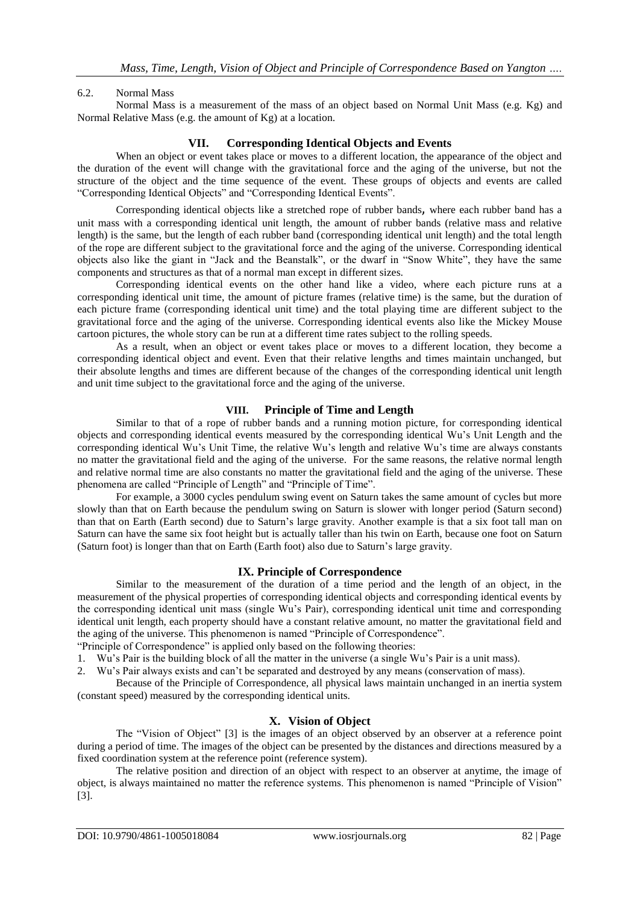# 6.2. Normal Mass

Normal Mass is a measurement of the mass of an object based on Normal Unit Mass (e.g. Kg) and Normal Relative Mass (e.g. the amount of Kg) at a location.

# **VII. Corresponding Identical Objects and Events**

When an object or event takes place or moves to a different location, the appearance of the object and the duration of the event will change with the gravitational force and the aging of the universe, but not the structure of the object and the time sequence of the event. These groups of objects and events are called "Corresponding Identical Objects" and "Corresponding Identical Events".

Corresponding identical objects like a stretched rope of rubber bands, where each rubber band has a unit mass with a corresponding identical unit length, the amount of rubber bands (relative mass and relative length) is the same, but the length of each rubber band (corresponding identical unit length) and the total length of the rope are different subject to the gravitational force and the aging of the universe. Corresponding identical objects also like the giant in "Jack and the Beanstalk", or the dwarf in "Snow White", they have the same components and structures as that of a normal man except in different sizes.

Corresponding identical events on the other hand like a video, where each picture runs at a corresponding identical unit time, the amount of picture frames (relative time) is the same, but the duration of each picture frame (corresponding identical unit time) and the total playing time are different subject to the gravitational force and the aging of the universe. Corresponding identical events also like the Mickey Mouse cartoon pictures, the whole story can be run at a different time rates subject to the rolling speeds.

As a result, when an object or event takes place or moves to a different location, they become a corresponding identical object and event. Even that their relative lengths and times maintain unchanged, but their absolute lengths and times are different because of the changes of the corresponding identical unit length and unit time subject to the gravitational force and the aging of the universe.

### **VIII. Principle of Time and Length**

Similar to that of a rope of rubber bands and a running motion picture, for corresponding identical objects and corresponding identical events measured by the corresponding identical Wu's Unit Length and the corresponding identical Wu's Unit Time, the relative Wu's length and relative Wu's time are always constants no matter the gravitational field and the aging of the universe. For the same reasons, the relative normal length and relative normal time are also constants no matter the gravitational field and the aging of the universe. These phenomena are called "Principle of Length" and "Principle of Time".

For example, a 3000 cycles pendulum swing event on Saturn takes the same amount of cycles but more slowly than that on Earth because the pendulum swing on Saturn is slower with longer period (Saturn second) than that on Earth (Earth second) due to Saturn's large gravity. Another example is that a six foot tall man on Saturn can have the same six foot height but is actually taller than his twin on Earth, because one foot on Saturn (Saturn foot) is longer than that on Earth (Earth foot) also due to Saturn's large gravity.

#### **IX. Principle of Correspondence**

Similar to the measurement of the duration of a time period and the length of an object, in the measurement of the physical properties of corresponding identical objects and corresponding identical events by the corresponding identical unit mass (single Wu's Pair), corresponding identical unit time and corresponding identical unit length, each property should have a constant relative amount, no matter the gravitational field and the aging of the universe. This phenomenon is named "Principle of Correspondence".

"Principle of Correspondence" is applied only based on the following theories:

1. Wu's Pair is the building block of all the matter in the universe (a single Wu's Pair is a unit mass).

2. Wu's Pair always exists and can't be separated and destroyed by any means (conservation of mass).

Because of the Principle of Correspondence, all physical laws maintain unchanged in an inertia system (constant speed) measured by the corresponding identical units.

# **X. Vision of Object**

The "Vision of Object" [3] is the images of an object observed by an observer at a reference point during a period of time. The images of the object can be presented by the distances and directions measured by a fixed coordination system at the reference point (reference system).

The relative position and direction of an object with respect to an observer at anytime, the image of object, is always maintained no matter the reference systems. This phenomenon is named "Principle of Vision" [3].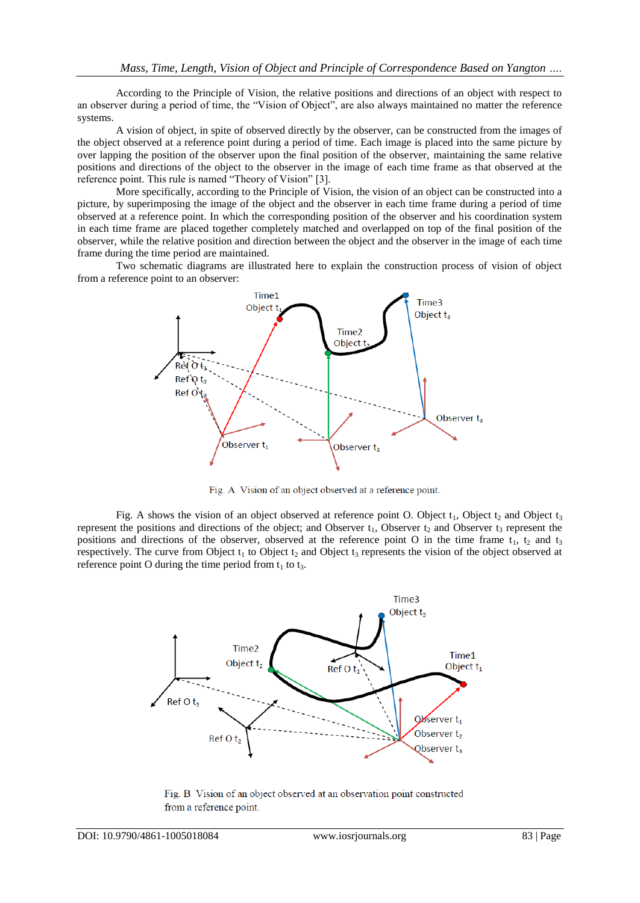According to the Principle of Vision, the relative positions and directions of an object with respect to an observer during a period of time, the "Vision of Object", are also always maintained no matter the reference systems.

A vision of object, in spite of observed directly by the observer, can be constructed from the images of the object observed at a reference point during a period of time. Each image is placed into the same picture by over lapping the position of the observer upon the final position of the observer, maintaining the same relative positions and directions of the object to the observer in the image of each time frame as that observed at the reference point. This rule is named "Theory of Vision" [3].

More specifically, according to the Principle of Vision, the vision of an object can be constructed into a picture, by superimposing the image of the object and the observer in each time frame during a period of time observed at a reference point. In which the corresponding position of the observer and his coordination system in each time frame are placed together completely matched and overlapped on top of the final position of the observer, while the relative position and direction between the object and the observer in the image of each time frame during the time period are maintained.

Two schematic diagrams are illustrated here to explain the construction process of vision of object from a reference point to an observer:



Fig. A Vision of an object observed at a reference point.

Fig. A shows the vision of an object observed at reference point O. Object  $t_1$ , Object  $t_2$  and Object  $t_3$ represent the positions and directions of the object; and Observer  $t_1$ , Observer  $t_2$  and Observer  $t_3$  represent the positions and directions of the observer, observed at the reference point O in the time frame  $t_1$ ,  $t_2$  and  $t_3$ respectively. The curve from Object  $t_1$  to Object  $t_2$  and Object  $t_3$  represents the vision of the object observed at reference point O during the time period from  $t_1$  to  $t_3$ .



Fig. B Vision of an object observed at an observation point constructed from a reference point.